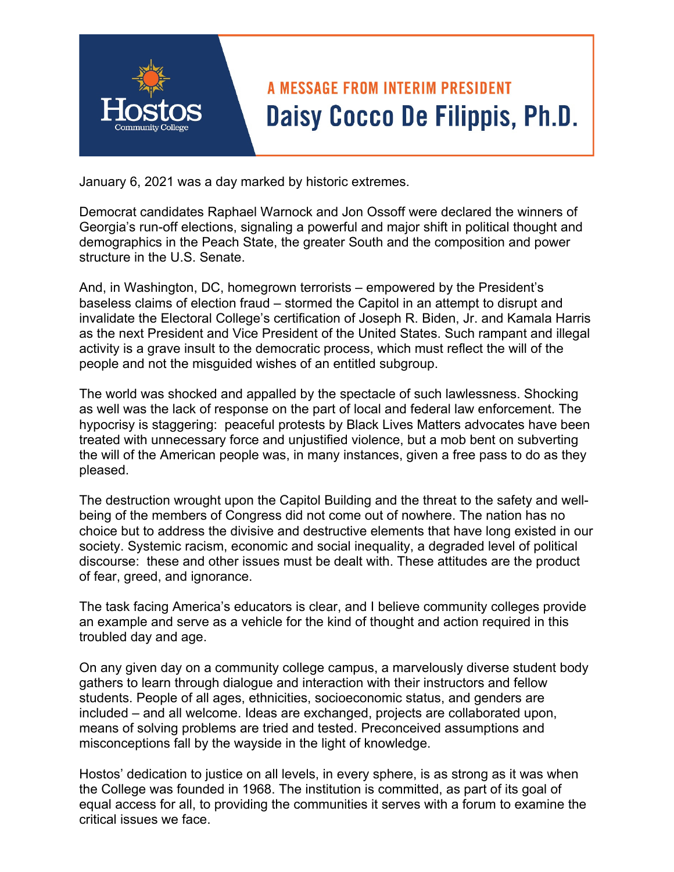

January 6, 2021 was a day marked by historic extremes.

Democrat candidates Raphael Warnock and Jon Ossoff were declared the winners of Georgia's run-off elections, signaling a powerful and major shift in political thought and demographics in the Peach State, the greater South and the composition and power structure in the U.S. Senate.

And, in Washington, DC, homegrown terrorists – empowered by the President's baseless claims of election fraud – stormed the Capitol in an attempt to disrupt and invalidate the Electoral College's certification of Joseph R. Biden, Jr. and Kamala Harris as the next President and Vice President of the United States. Such rampant and illegal activity is a grave insult to the democratic process, which must reflect the will of the people and not the misguided wishes of an entitled subgroup.

The world was shocked and appalled by the spectacle of such lawlessness. Shocking as well was the lack of response on the part of local and federal law enforcement. The hypocrisy is staggering: peaceful protests by Black Lives Matters advocates have been treated with unnecessary force and unjustified violence, but a mob bent on subverting the will of the American people was, in many instances, given a free pass to do as they pleased.

The destruction wrought upon the Capitol Building and the threat to the safety and wellbeing of the members of Congress did not come out of nowhere. The nation has no choice but to address the divisive and destructive elements that have long existed in our society. Systemic racism, economic and social inequality, a degraded level of political discourse: these and other issues must be dealt with. These attitudes are the product of fear, greed, and ignorance.

The task facing America's educators is clear, and I believe community colleges provide an example and serve as a vehicle for the kind of thought and action required in this troubled day and age.

On any given day on a community college campus, a marvelously diverse student body gathers to learn through dialogue and interaction with their instructors and fellow students. People of all ages, ethnicities, socioeconomic status, and genders are included – and all welcome. Ideas are exchanged, projects are collaborated upon, means of solving problems are tried and tested. Preconceived assumptions and misconceptions fall by the wayside in the light of knowledge.

Hostos' dedication to justice on all levels, in every sphere, is as strong as it was when the College was founded in 1968. The institution is committed, as part of its goal of equal access for all, to providing the communities it serves with a forum to examine the critical issues we face.